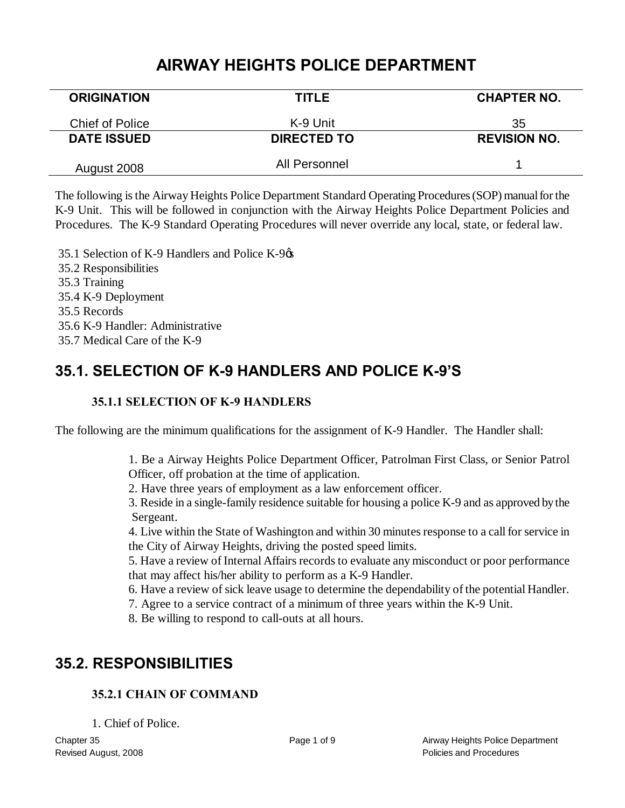## **AIRWAY HEIGHTS POLICE DEPARTMENT**

| <b>ORIGINATION</b>     | <b>TITLE</b>       | <b>CHAPTER NO.</b>  |
|------------------------|--------------------|---------------------|
| <b>Chief of Police</b> | K-9 Unit           | 35                  |
| <b>DATE ISSUED</b>     | <b>DIRECTED TO</b> | <b>REVISION NO.</b> |
| August 2008            | All Personnel      |                     |

The following is the Airway Heights Police Department Standard Operating Procedures (SOP) manual for the K-9 Unit. This will be followed in conjunction with the Airway Heights Police Department Policies and Procedures. The K-9 Standard Operating Procedures will never override any local, state, or federal law.

35.1 Selection of K-9 Handlers and Police K-9 $\alpha$ 35.2 Responsibilities 35.3 Training 35.4 K-9 Deployment 35.5 Records 35.6 K-9 Handler: Administrative 35.7 Medical Care of the K-9

# **35.1. SELECTION OF K-9 HANDLERS AND POLICE K-9'S**

## **35.1.1 SELECTION OF K-9 HANDLERS**

The following are the minimum qualifications for the assignment of K-9 Handler. The Handler shall:

1. Be a Airway Heights Police Department Officer, Patrolman First Class, or Senior Patrol Officer, off probation at the time of application.

2. Have three years of employment as a law enforcement officer.

3. Reside in a single-family residence suitable for housing a police K-9 and as approved by the Sergeant.

4. Live within the State of Washington and within 30 minutes response to a call for service in the City of Airway Heights, driving the posted speed limits.

5. Have a review of Internal Affairs records to evaluate any misconduct or poor performance that may affect his/her ability to perform as a K-9 Handler.

6. Have a review of sick leave usage to determine the dependability of the potential Handler.

7. Agree to a service contract of a minimum of three years within the K-9 Unit.

8. Be willing to respond to call-outs at all hours.

## **35.2. RESPONSIBILITIES**

## **35.2.1 CHAIN OF COMMAND**

1. Chief of Police.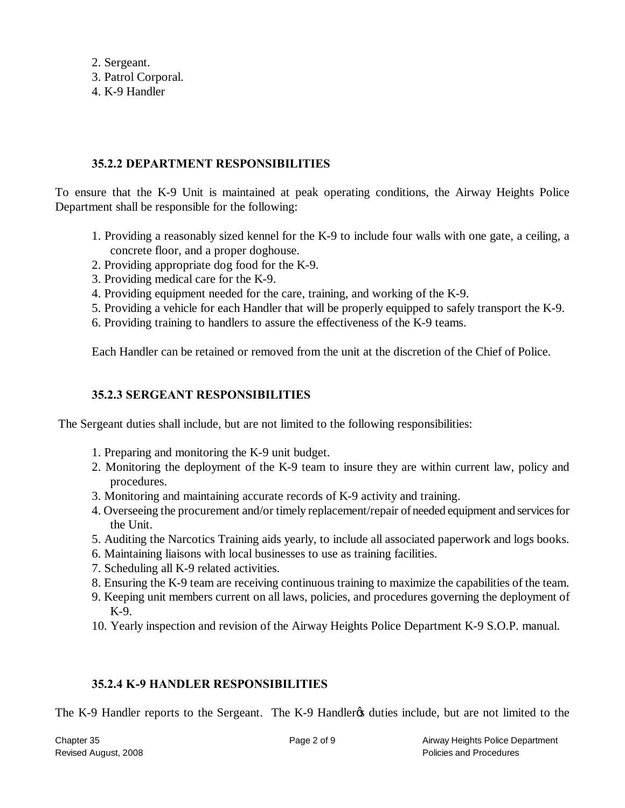2. Sergeant.

3. Patrol Corporal.

4. K-9 Handler

#### **35.2.2 DEPARTMENT RESPONSIBILITIES**

To ensure that the K-9 Unit is maintained at peak operating conditions, the Airway Heights Police Department shall be responsible for the following:

- 1. Providing a reasonably sized kennel for the K-9 to include four walls with one gate, a ceiling, a concrete floor, and a proper doghouse.
- 2. Providing appropriate dog food for the K-9.
- 3. Providing medical care for the K-9.
- 4. Providing equipment needed for the care, training, and working of the K-9.
- 5. Providing a vehicle for each Handler that will be properly equipped to safely transport the K-9.
- 6. Providing training to handlers to assure the effectiveness of the K-9 teams.

Each Handler can be retained or removed from the unit at the discretion of the Chief of Police.

#### **35.2.3 SERGEANT RESPONSIBILITIES**

The Sergeant duties shall include, but are not limited to the following responsibilities:

- 1. Preparing and monitoring the K-9 unit budget.
- 2. Monitoring the deployment of the K-9 team to insure they are within current law, policy and procedures.
- 3. Monitoring and maintaining accurate records of K-9 activity and training.
- 4. Overseeing the procurement and/or timely replacement/repair of needed equipment and services for the Unit.
- 5. Auditing the Narcotics Training aids yearly, to include all associated paperwork and logs books.
- 6. Maintaining liaisons with local businesses to use as training facilities.
- 7. Scheduling all K-9 related activities.
- 8. Ensuring the K-9 team are receiving continuous training to maximize the capabilities of the team.
- 9. Keeping unit members current on all laws, policies, and procedures governing the deployment of K-9.
- 10. Yearly inspection and revision of the Airway Heights Police Department K-9 S.O.P. manual.

## **35.2.4 K-9 HANDLER RESPONSIBILITIES**

The K-9 Handler reports to the Sergeant. The K-9 Handler<sub>f</sub> duties include, but are not limited to the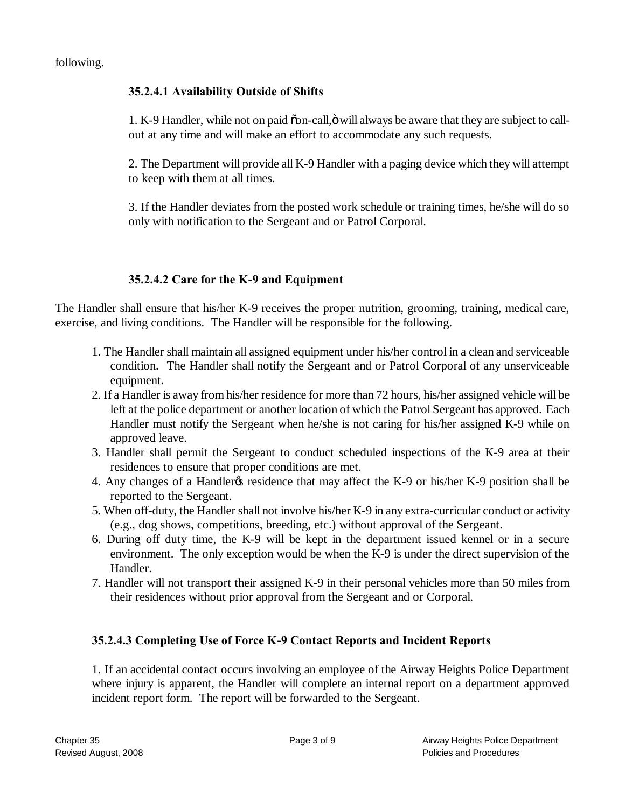following.

### **35.2.4.1 Availability Outside of Shifts**

1. K-9 Handler, while not on paid  $\delta$  on-call,  $\ddot{\text{o}}$  will always be aware that they are subject to callout at any time and will make an effort to accommodate any such requests.

2. The Department will provide all K-9 Handler with a paging device which they will attempt to keep with them at all times.

3. If the Handler deviates from the posted work schedule or training times, he/she will do so only with notification to the Sergeant and or Patrol Corporal.

## **35.2.4.2 Care for the K-9 and Equipment**

The Handler shall ensure that his/her K-9 receives the proper nutrition, grooming, training, medical care, exercise, and living conditions. The Handler will be responsible for the following.

- 1. The Handler shall maintain all assigned equipment under his/her control in a clean and serviceable condition. The Handler shall notify the Sergeant and or Patrol Corporal of any unserviceable equipment.
- 2. If a Handler is away from his/her residence for more than 72 hours, his/her assigned vehicle will be left at the police department or another location of which the Patrol Sergeant has approved. Each Handler must notify the Sergeant when he/she is not caring for his/her assigned K-9 while on approved leave.
- 3. Handler shall permit the Sergeant to conduct scheduled inspections of the K-9 area at their residences to ensure that proper conditions are met.
- 4. Any changes of a Handler ts residence that may affect the K-9 or his/her K-9 position shall be reported to the Sergeant.
- 5. When off-duty, the Handler shall not involve his/her K-9 in any extra-curricular conduct or activity (e.g., dog shows, competitions, breeding, etc.) without approval of the Sergeant.
- 6. During off duty time, the K-9 will be kept in the department issued kennel or in a secure environment. The only exception would be when the K-9 is under the direct supervision of the Handler.
- 7. Handler will not transport their assigned K-9 in their personal vehicles more than 50 miles from their residences without prior approval from the Sergeant and or Corporal.

## **35.2.4.3 Completing Use of Force K-9 Contact Reports and Incident Reports**

1. If an accidental contact occurs involving an employee of the Airway Heights Police Department where injury is apparent, the Handler will complete an internal report on a department approved incident report form. The report will be forwarded to the Sergeant.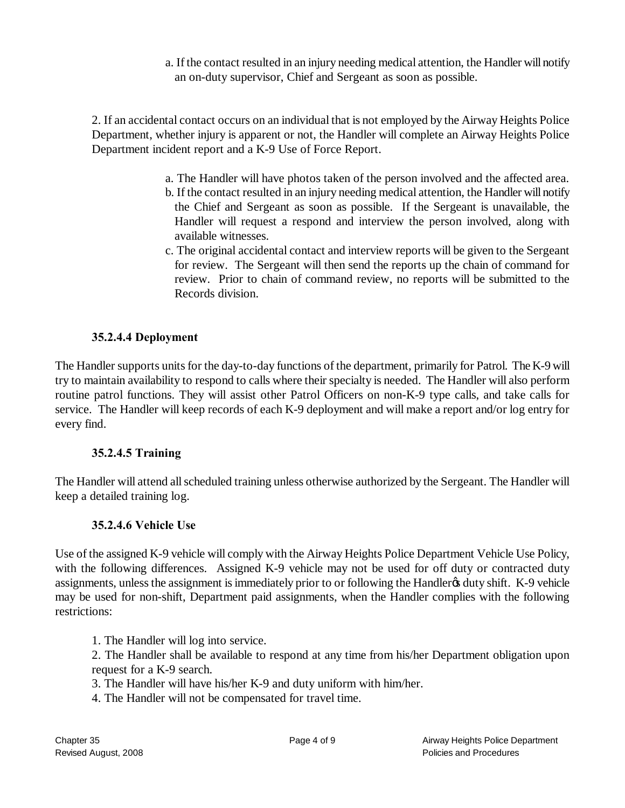a. If the contact resulted in an injury needing medical attention, the Handler will notify an on-duty supervisor, Chief and Sergeant as soon as possible.

2. If an accidental contact occurs on an individual that is not employed by the Airway Heights Police Department, whether injury is apparent or not, the Handler will complete an Airway Heights Police Department incident report and a K-9 Use of Force Report.

- a. The Handler will have photos taken of the person involved and the affected area.
- b. If the contact resulted in an injury needing medical attention, the Handler will notify the Chief and Sergeant as soon as possible. If the Sergeant is unavailable, the Handler will request a respond and interview the person involved, along with available witnesses.
- c. The original accidental contact and interview reports will be given to the Sergeant for review. The Sergeant will then send the reports up the chain of command for review. Prior to chain of command review, no reports will be submitted to the Records division.

#### **35.2.4.4 Deployment**

The Handler supports units for the day-to-day functions of the department, primarily for Patrol. The K-9 will try to maintain availability to respond to calls where their specialty is needed. The Handler will also perform routine patrol functions. They will assist other Patrol Officers on non-K-9 type calls, and take calls for service. The Handler will keep records of each K-9 deployment and will make a report and/or log entry for every find.

#### **35.2.4.5 Training**

The Handler will attend all scheduled training unless otherwise authorized by the Sergeant. The Handler will keep a detailed training log.

#### **35.2.4.6 Vehicle Use**

Use of the assigned K-9 vehicle will comply with the Airway Heights Police Department Vehicle Use Policy, with the following differences. Assigned K-9 vehicle may not be used for off duty or contracted duty assignments, unless the assignment is immediately prior to or following the Handler & duty shift. K-9 vehicle may be used for non-shift, Department paid assignments, when the Handler complies with the following restrictions:

- 1. The Handler will log into service.
- 2. The Handler shall be available to respond at any time from his/her Department obligation upon request for a K-9 search.
- 3. The Handler will have his/her K-9 and duty uniform with him/her.
- 4. The Handler will not be compensated for travel time.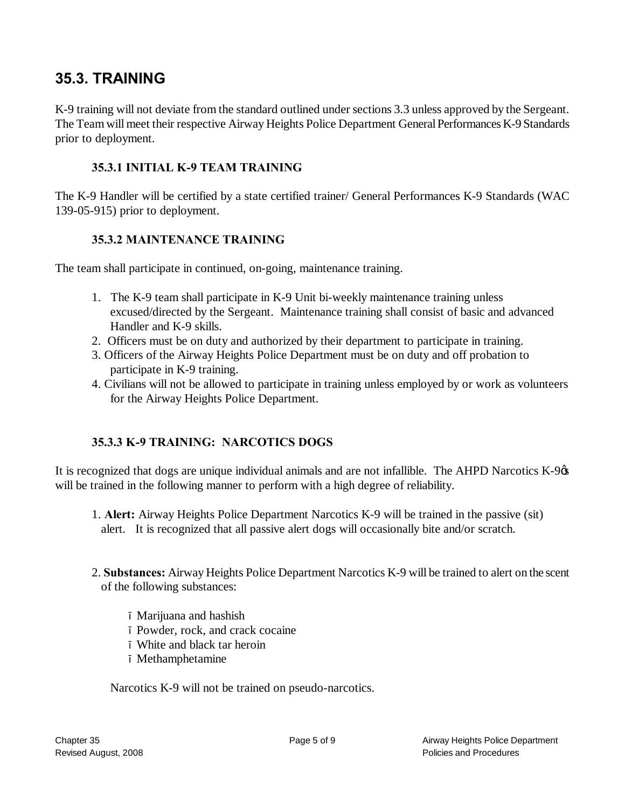## **35.3. TRAINING**

K-9 training will not deviate from the standard outlined under sections 3.3 unless approved by the Sergeant. The Team will meet their respective Airway Heights Police Department General Performances K-9 Standards prior to deployment.

#### **35.3.1 INITIAL K-9 TEAM TRAINING**

The K-9 Handler will be certified by a state certified trainer/ General Performances K-9 Standards (WAC 139-05-915) prior to deployment.

#### **35.3.2 MAINTENANCE TRAINING**

The team shall participate in continued, on-going, maintenance training.

- 1. The K-9 team shall participate in K-9 Unit bi-weekly maintenance training unless excused/directed by the Sergeant. Maintenance training shall consist of basic and advanced Handler and K-9 skills.
- 2. Officers must be on duty and authorized by their department to participate in training.
- 3. Officers of the Airway Heights Police Department must be on duty and off probation to participate in K-9 training.
- 4. Civilians will not be allowed to participate in training unless employed by or work as volunteers for the Airway Heights Police Department.

## **35.3.3 K-9 TRAINING: NARCOTICS DOGS**

It is recognized that dogs are unique individual animals and are not infallible. The AHPD Narcotics  $K-9\alpha$ will be trained in the following manner to perform with a high degree of reliability.

- 1. **Alert:** Airway Heights Police Department Narcotics K-9 will be trained in the passive (sit) alert. It is recognized that all passive alert dogs will occasionally bite and/or scratch.
- 2. **Substances:** Airway Heights Police Department Narcotics K-9 will be trained to alert on the scent of the following substances:

Marijuana and hashish Powder, rock, and crack cocaine White and black tar heroin Methamphetamine

Narcotics K-9 will not be trained on pseudo-narcotics.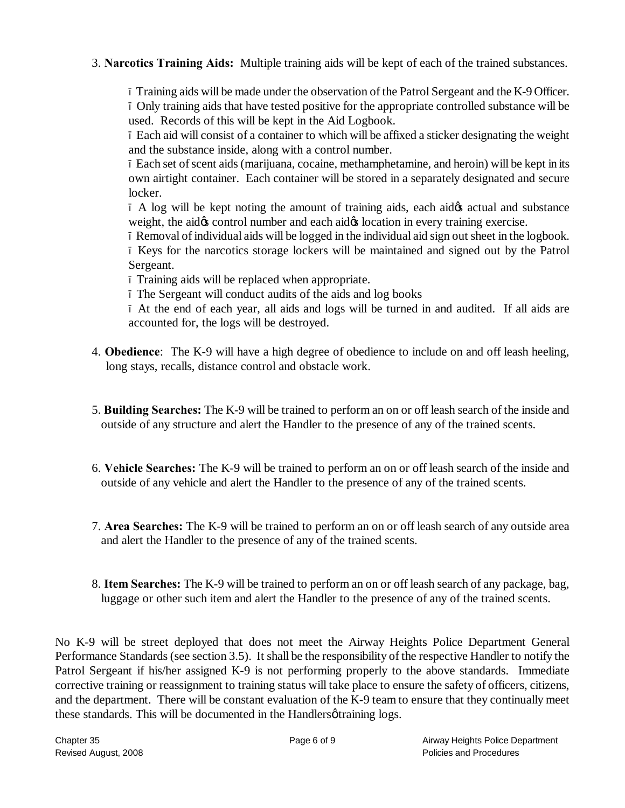3. **Narcotics Training Aids:** Multiple training aids will be kept of each of the trained substances.

Training aids will be made under the observation of the Patrol Sergeant and the K-9 Officer. Only training aids that have tested positive for the appropriate controlled substance will be used. Records of this will be kept in the Aid Logbook.

Each aid will consist of a container to which will be affixed a sticker designating the weight and the substance inside, along with a control number.

Each set of scent aids (marijuana, cocaine, methamphetamine, and heroin) will be kept in its own airtight container. Each container will be stored in a separately designated and secure locker.

A log will be kept noting the amount of training aids, each aid the actual and substance weight, the aid  $\alpha$  control number and each aid  $\alpha$  location in every training exercise.

Removal of individual aids will be logged in the individual aid sign out sheet in the logbook.

Keys for the narcotics storage lockers will be maintained and signed out by the Patrol Sergeant.

Training aids will be replaced when appropriate.

The Sergeant will conduct audits of the aids and log books

At the end of each year, all aids and logs will be turned in and audited. If all aids are accounted for, the logs will be destroyed.

- 4. **Obedience**: The K-9 will have a high degree of obedience to include on and off leash heeling, long stays, recalls, distance control and obstacle work.
- 5. **Building Searches:** The K-9 will be trained to perform an on or off leash search of the inside and outside of any structure and alert the Handler to the presence of any of the trained scents.
- 6. **Vehicle Searches:** The K-9 will be trained to perform an on or off leash search of the inside and outside of any vehicle and alert the Handler to the presence of any of the trained scents.
- 7. **Area Searches:** The K-9 will be trained to perform an on or off leash search of any outside area and alert the Handler to the presence of any of the trained scents.
- 8. **Item Searches:** The K-9 will be trained to perform an on or off leash search of any package, bag, luggage or other such item and alert the Handler to the presence of any of the trained scents.

No K-9 will be street deployed that does not meet the Airway Heights Police Department General Performance Standards (see section 3.5). It shall be the responsibility of the respective Handler to notify the Patrol Sergeant if his/her assigned K-9 is not performing properly to the above standards. Immediate corrective training or reassignment to training status will take place to ensure the safety of officers, citizens, and the department. There will be constant evaluation of the K-9 team to ensure that they continually meet these standards. This will be documented in the Handlers *o*training logs.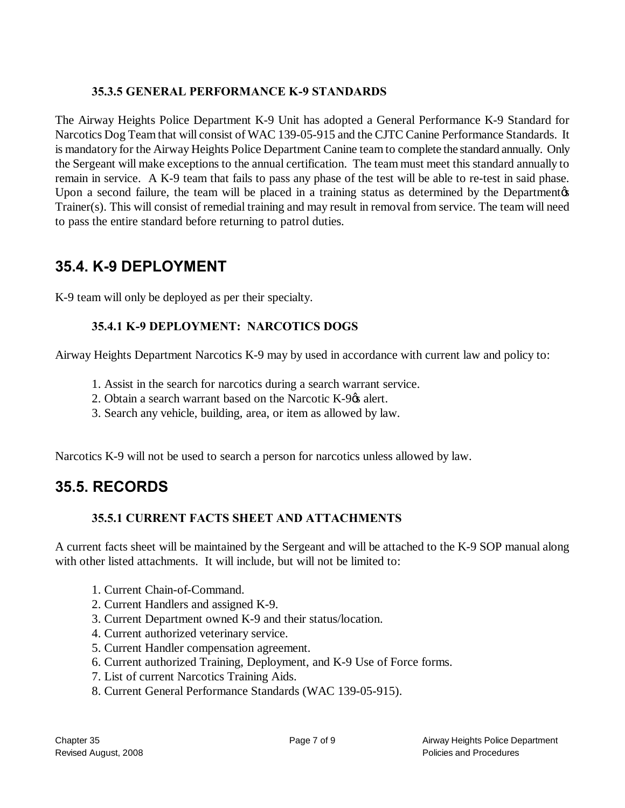## **35.3.5 GENERAL PERFORMANCE K-9 STANDARDS**

The Airway Heights Police Department K-9 Unit has adopted a General Performance K-9 Standard for Narcotics Dog Team that will consist of WAC 139-05-915 and the CJTC Canine Performance Standards. It is mandatory for the Airway Heights Police Department Canine team to complete the standard annually. Only the Sergeant will make exceptions to the annual certification. The team must meet this standard annually to remain in service. A K-9 team that fails to pass any phase of the test will be able to re-test in said phase. Upon a second failure, the team will be placed in a training status as determined by the Department of Trainer(s). This will consist of remedial training and may result in removal from service. The team will need to pass the entire standard before returning to patrol duties.

## **35.4. K-9 DEPLOYMENT**

K-9 team will only be deployed as per their specialty.

## **35.4.1 K-9 DEPLOYMENT: NARCOTICS DOGS**

Airway Heights Department Narcotics K-9 may by used in accordance with current law and policy to:

- 1. Assist in the search for narcotics during a search warrant service.
- 2. Obtain a search warrant based on the Narcotic K-9 $\alpha$  alert.
- 3. Search any vehicle, building, area, or item as allowed by law.

Narcotics K-9 will not be used to search a person for narcotics unless allowed by law.

## **35.5. RECORDS**

## **35.5.1 CURRENT FACTS SHEET AND ATTACHMENTS**

A current facts sheet will be maintained by the Sergeant and will be attached to the K-9 SOP manual along with other listed attachments. It will include, but will not be limited to:

- 1. Current Chain-of-Command.
- 2. Current Handlers and assigned K-9.
- 3. Current Department owned K-9 and their status/location.
- 4. Current authorized veterinary service.
- 5. Current Handler compensation agreement.
- 6. Current authorized Training, Deployment, and K-9 Use of Force forms.
- 7. List of current Narcotics Training Aids.
- 8. Current General Performance Standards (WAC 139-05-915).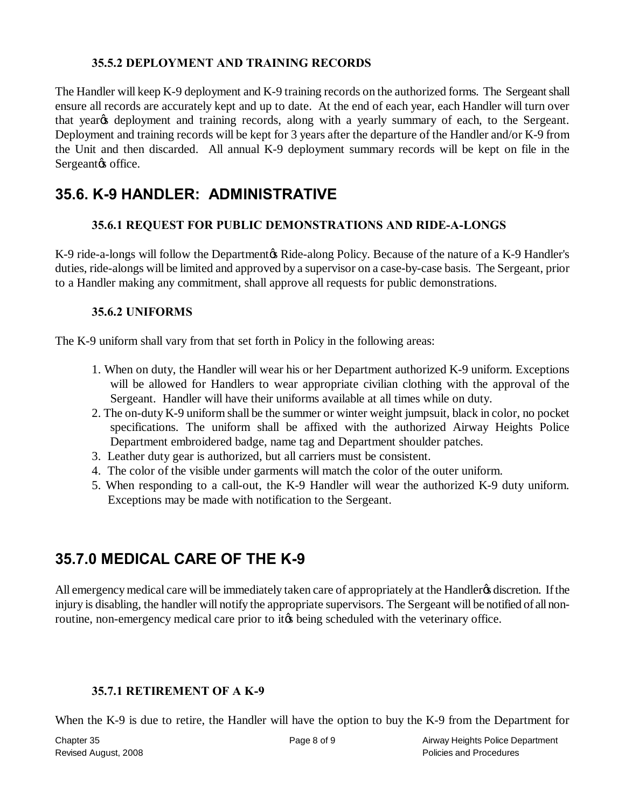#### **35.5.2 DEPLOYMENT AND TRAINING RECORDS**

The Handler will keep K-9 deployment and K-9 training records on the authorized forms. The Sergeant shall ensure all records are accurately kept and up to date. At the end of each year, each Handler will turn over that year<sub>%</sub> deployment and training records, along with a yearly summary of each, to the Sergeant. Deployment and training records will be kept for 3 years after the departure of the Handler and/or K-9 from the Unit and then discarded. All annual K-9 deployment summary records will be kept on file in the Sergeant ts office.

## **35.6. K-9 HANDLER: ADMINISTRATIVE**

#### **35.6.1 REQUEST FOR PUBLIC DEMONSTRATIONS AND RIDE-A-LONGS**

K-9 ride-a-longs will follow the Department & Ride-along Policy. Because of the nature of a K-9 Handler's duties, ride-alongs will be limited and approved by a supervisor on a case-by-case basis. The Sergeant, prior to a Handler making any commitment, shall approve all requests for public demonstrations.

#### **35.6.2 UNIFORMS**

The K-9 uniform shall vary from that set forth in Policy in the following areas:

- 1. When on duty, the Handler will wear his or her Department authorized K-9 uniform. Exceptions will be allowed for Handlers to wear appropriate civilian clothing with the approval of the Sergeant. Handler will have their uniforms available at all times while on duty.
- 2. The on-duty K-9 uniform shall be the summer or winter weight jumpsuit, black in color, no pocket specifications. The uniform shall be affixed with the authorized Airway Heights Police Department embroidered badge, name tag and Department shoulder patches.
- 3. Leather duty gear is authorized, but all carriers must be consistent.
- 4. The color of the visible under garments will match the color of the outer uniform.
- 5. When responding to a call-out, the K-9 Handler will wear the authorized K-9 duty uniform. Exceptions may be made with notification to the Sergeant.

## **35.7.0 MEDICAL CARE OF THE K-9**

All emergency medical care will be immediately taken care of appropriately at the Handler& discretion. If the injury is disabling, the handler will notify the appropriate supervisors. The Sergeant will be notified of all nonroutine, non-emergency medical care prior to it to being scheduled with the veterinary office.

#### **35.7.1 RETIREMENT OF A K-9**

When the K-9 is due to retire, the Handler will have the option to buy the K-9 from the Department for